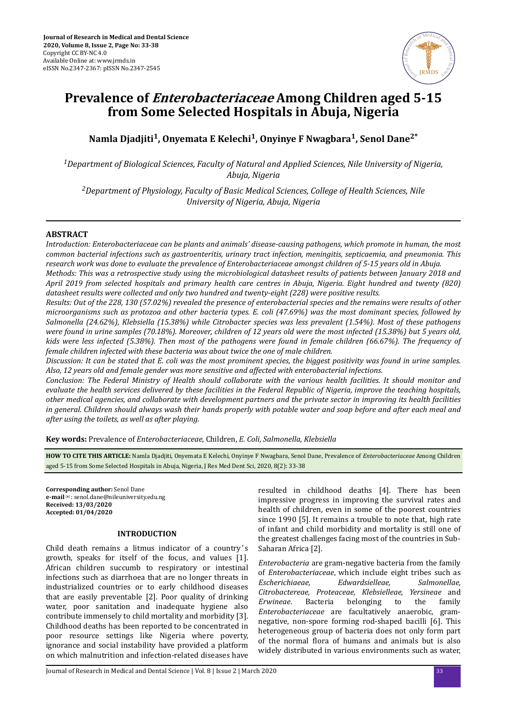

# **Prevalence of Enterobacteriaceae Among Children aged 5-15 from Some Selected Hospitals in Abuja, Nigeria**

**Namla Djadjiti<sup>1</sup> , Onyemata E Kelechi<sup>1</sup> , Onyinye F Nwagbara<sup>1</sup> , Senol Dane2\***

*<sup>1</sup>Department of Biological Sciences, Faculty of Natural and Applied Sciences, Nile University of Nigeria, Abuja, Nigeria*

*<sup>2</sup>Department of Physiology, Faculty of Basic Medical Sciences, College of Health Sciences, Nile University of Nigeria, Abuja, Nigeria*

# **ABSTRACT**

*Introduction: Enterobacteriaceae can be plants and animals' disease-causing pathogens, which promote in human, the most common bacterial infections such as gastroenteritis, urinary tract infection, meningitis, septicaemia, and pneumonia. This research work was done to evaluate the prevalence of Enterobacteriaceae amongst children of 5-15 years old in Abuja.*

*Methods: This was a retrospective study using the microbiological datasheet results of patients between January 2018 and April 2019 from selected hospitals and primary health care centres in Abuja, Nigeria. Eight hundred and twenty (820) datasheet results were collected and only two hundred and twenty-eight (228) were positive results.*

*Results: Out of the 228, 130 (57.02%) revealed the presence of enterobacterial species and the remains were results of other microorganisms such as protozoa and other bacteria types. E. coli (47.69%) was the most dominant species, followed by Salmonella (24.62%), Klebsiella (15.38%) while Citrobacter species was less prevalent (1.54%). Most of these pathogens were found in urine samples (70.18%). Moreover, children of 12 years old were the most infected (15.38%) but 5 years old, kids were less infected (5.38%). Then most of the pathogens were found in female children (66.67%). The frequency of female children infected with these bacteria was about twice the one of male children.*

*Discussion: It can be stated that E. coli was the most prominent species, the biggest positivity was found in urine samples. Also, 12 years old and female gender was more sensitive and affected with enterobacterial infections.*

*Conclusion: The Federal Ministry of Health should collaborate with the various health facilities. It should monitor and evaluate the health services delivered by these facilities in the Federal Republic of Nigeria, improve the teaching hospitals, other medical agencies, and collaborate with development partners and the private sector in improving its health facilities in general. Children should always wash their hands properly with potable water and soap before and after each meal and after using the toilets, as well as after playing.*

**Key words:** Prevalence of *Enterobacteriaceae*, Children, *E. Coli*, *Salmonella*, *Klebsiella*

**HOW TO CITE THIS ARTICLE:** Namla Djadjiti, Onyemata E Kelechi, Onyinye F Nwagbara, Senol Dane, Prevalence of *Enterobacteriaceae* Among Children aged 5-15 from Some Selected Hospitals in Abuja, Nigeria, J Res Med Dent Sci, 2020, 8(2): 33-38

**Corresponding author:** Senol Dane **e-mail**✉: senol.dane@nileuniversity.edu.ng **Received: 13/03/2020 Accepted: 01/04/2020** 

#### **INTRODUCTION**

Child death remains a litmus indicator of a country' s growth, speaks for itself of the focus, and values [1]. African children succumb to respiratory or intestinal infections such as diarrhoea that are no longer threats in industrialized countries or to early childhood diseases that are easily preventable [2]. Poor quality of drinking water, poor sanitation and inadequate hygiene also contribute immensely to child mortality and morbidity [3]. Childhood deaths has been reported to be concentrated in poor resource settings like Nigeria where poverty, ignorance and social instability have provided a platform on which malnutrition and infection-related diseases have

resulted in childhood deaths [4]. There has been impressive progress in improving the survival rates and health of children, even in some of the poorest countries since 1990 [5]. It remains a trouble to note that, high rate of infant and child morbidity and mortality is still one of the greatest challenges facing most of the countries in Sub-Saharan Africa [2].

*Enterobacteria* are gram-negative bacteria from the family of *Enterobacteriaceae*, which include eight tribes such as *Escherichiaeae, Edwardsielleae, Salmonellae, Citrobactereae, Proteaceae, Klebsielleae, Yersineae* and *Erwineae*. Bacteria belonging to the family *Enterobacteriaceae* are facultatively anaerobic, gramnegative, non-spore forming rod-shaped bacilli [6]. This heterogeneous group of bacteria does not only form part of the normal flora of humans and animals but is also widely distributed in various environments such as water,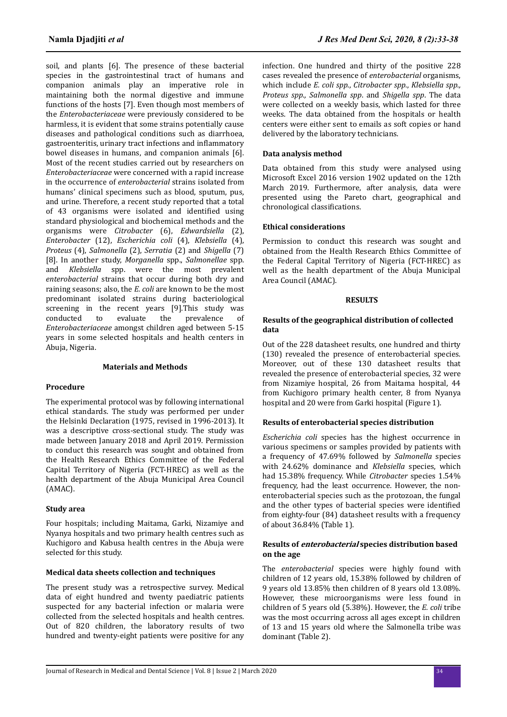soil, and plants [6]. The presence of these bacterial species in the gastrointestinal tract of humans and companion animals play an imperative role in maintaining both the normal digestive and immune functions of the hosts [7]. Even though most members of the *Enterobacteriaceae* were previously considered to be harmless, it is evident that some strains potentially cause diseases and pathological conditions such as diarrhoea, gastroenteritis, urinary tract infections and inflammatory bowel diseases in humans, and companion animals [6]. Most of the recent studies carried out by researchers on *Enterobacteriaceae* were concerned with a rapid increase in the occurrence of *enterobacterial* strains isolated from humans' clinical specimens such as blood, sputum, pus, and urine. Therefore, a recent study reported that a total of 43 organisms were isolated and identified using standard physiological and biochemical methods and the organisms were *Citrobacter* (6), *Edwardsiella* (2), *Enterobacter* (12), *Escherichia coli* (4), *Klebsiella* (4), *Proteus* (4), *Salmonella* (2), *Serratia* (2) and *Shigella* (7) [8]. In another study, *Morganella* spp., *Salmonellae* spp. and *Klebsiella* spp. were the most prevalent *enterobacterial* strains that occur during both dry and raining seasons; also, the *E. coli* are known to be the most predominant isolated strains during bacteriological screening in the recent years [9].This study was conducted to evaluate the prevalence of *Enterobacteriaceae* amongst children aged between 5-15 years in some selected hospitals and health centers in Abuja, Nigeria.

# **Materials and Methods**

## **Procedure**

The experimental protocol was by following international ethical standards. The study was performed per under the Helsinki Declaration (1975, revised in 1996-2013). It was a descriptive cross-sectional study. The study was made between January 2018 and April 2019. Permission to conduct this research was sought and obtained from the Health Research Ethics Committee of the Federal Capital Territory of Nigeria (FCT-HREC) as well as the health department of the Abuja Municipal Area Council (AMAC).

### **Study area**

Four hospitals; including Maitama, Garki, Nizamiye and Nyanya hospitals and two primary health centres such as Kuchigoro and Kabusa health centres in the Abuja were selected for this study.

#### **Medical data sheets collection and techniques**

The present study was a retrospective survey. Medical data of eight hundred and twenty paediatric patients suspected for any bacterial infection or malaria were collected from the selected hospitals and health centres. Out of 820 children, the laboratory results of two hundred and twenty-eight patients were positive for any infection. One hundred and thirty of the positive 228 cases revealed the presence of *enterobacterial* organisms, which include *E. coli spp*., *Citrobacter spp.*, *Klebsiella spp., Proteus spp., Salmonella spp*. and *Shigella spp*. The data were collected on a weekly basis, which lasted for three weeks. The data obtained from the hospitals or health centers were either sent to emails as soft copies or hand delivered by the laboratory technicians.

## **Data analysis method**

Data obtained from this study were analysed using Microsoft Excel 2016 version 1902 updated on the 12th March 2019. Furthermore, after analysis, data were presented using the Pareto chart, geographical and chronological classifications.

## **Ethical considerations**

Permission to conduct this research was sought and obtained from the Health Research Ethics Committee of the Federal Capital Territory of Nigeria (FCT-HREC) as well as the health department of the Abuja Municipal Area Council (AMAC).

#### **RESULTS**

## **Results of the geographical distribution of collected data**

Out of the 228 datasheet results, one hundred and thirty (130) revealed the presence of enterobacterial species. Moreover, out of these 130 datasheet results that revealed the presence of enterobacterial species, 32 were from Nizamiye hospital, 26 from Maitama hospital, 44 from Kuchigoro primary health center, 8 from Nyanya hospital and 20 were from Garki hospital (Figure 1).

# **Results of enterobacterial species distribution**

*Escherichia coli* species has the highest occurrence in various specimens or samples provided by patients with a frequency of 47.69% followed by *Salmonella* species with 24.62% dominance and *Klebsiella* species, which had 15.38% frequency. While *Citrobacter* species 1.54% frequency, had the least occurrence. However, the nonenterobacterial species such as the protozoan, the fungal and the other types of bacterial species were identified from eighty-four (84) datasheet results with a frequency of about 36.84% (Table 1).

## **Results of enterobacterial species distribution based on the age**

The *enterobacterial* species were highly found with children of 12 years old, 15.38% followed by children of 9 years old 13.85% then children of 8 years old 13.08%. However, these microorganisms were less found in children of 5 years old (5.38%). However, the *E. coli* tribe was the most occurring across all ages except in children of 13 and 15 years old where the Salmonella tribe was dominant (Table 2).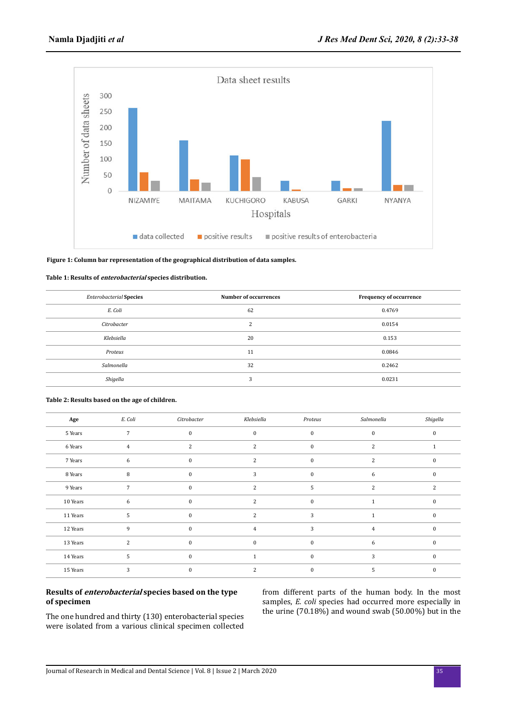

#### **Figure 1: Column bar representation of the geographical distribution of data samples.**

#### **Table 1: Results of enterobacterial species distribution.**

| <b>Enterobacterial Species</b> | Number of occurrences | <b>Frequency of occurrence</b> |  |
|--------------------------------|-----------------------|--------------------------------|--|
| E. Coli                        | 62                    | 0.4769                         |  |
| Citrobacter                    | $\mathbf{r}$<br>∠     | 0.0154                         |  |
| Klebsiella                     | 20                    | 0.153                          |  |
| Proteus                        | 11                    | 0.0846                         |  |
| Salmonella                     | 32                    | 0.2462                         |  |
| Shigella                       | 3                     | 0.0231                         |  |

| Age      | E. Coli        | Citrobacter  | Klebsiella     | Proteus  | Salmonella | Shigella      |
|----------|----------------|--------------|----------------|----------|------------|---------------|
| 5 Years  | $\overline{7}$ | $\mathbf{0}$ | $\mathbf{0}$   | $\Omega$ | $\Omega$   | $\Omega$      |
| 6 Years  | 4              | 2            | 2              | $\Omega$ | 2          |               |
| 7 Years  | 6              | $\mathbf{0}$ | 2              | $\Omega$ | 2          | $\Omega$      |
| 8 Years  | 8              | $\mathbf{0}$ | 3              | $\Omega$ | 6          | $\Omega$      |
| 9 Years  | 7              | $\mathbf{0}$ | $\overline{2}$ | 5        | 2          | $\mathcal{L}$ |
| 10 Years | 6              | $\mathbf{0}$ | $\mathfrak{D}$ | $\Omega$ |            | $\Omega$      |
| 11 Years | 5              | $\bf{0}$     | 2              | 3        |            | $\mathbf{0}$  |
| 12 Years | 9              | $\bf{0}$     | 4              | 3        |            | $\Omega$      |
| 13 Years | $\overline{2}$ | $\bf{0}$     | $\mathbf{0}$   | $\bf{0}$ | 6          | $\Omega$      |
| 14 Years | 5              | $\mathbf{0}$ |                | $\Omega$ | 3          | $\Omega$      |
| 15 Years | 3              | $\bf{0}$     | $\mathcal{L}$  | 0        | 5          |               |

#### **Table 2: Results based on the age of children.**

# **Results of enterobacterial species based on the type of specimen**

The one hundred and thirty (130) enterobacterial species were isolated from a various clinical specimen collected from different parts of the human body. In the most samples, *E. coli* species had occurred more especially in the urine (70.18%) and wound swab (50.00%) but in the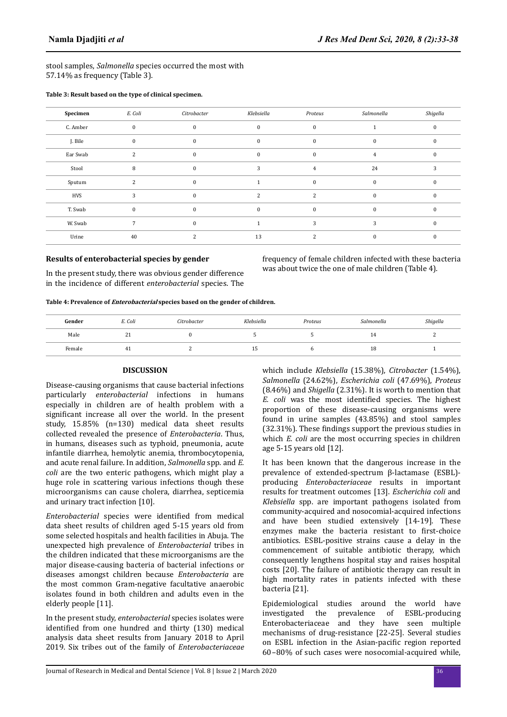stool samples, *Salmonella* species occurred the most with 57.14% as frequency (Table 3).

**Table 3: Result based on the type of clinical specimen.**

| Specimen   | E. Coli      | Citrobacter  | Klebsiella    | Proteus        | Salmonella | Shigella |
|------------|--------------|--------------|---------------|----------------|------------|----------|
| C. Amber   | $\mathbf{0}$ | $\bf{0}$     | $\Omega$      | $\mathbf{0}$   |            |          |
| J. Bile    | $\bf{0}$     | $\Omega$     | $\Omega$      | $\mathbf{0}$   | $\Omega$   |          |
| Ear Swab   | ຳ            | $\Omega$     | $\Omega$      | $\mathbf{0}$   | 4          |          |
| Stool      | 8            | $\Omega$     | 3             | $\overline{4}$ | 24         | 3        |
| Sputum     |              | $\Omega$     |               | $\Omega$       | $\Omega$   |          |
| <b>HVS</b> | 3            | $\mathbf{0}$ | $\mathcal{L}$ | $\mathcal{P}$  | $\Omega$   |          |
| T. Swab    | $\bf{0}$     | $\Omega$     |               | $\mathbf{0}$   |            |          |
| W. Swab    |              | $\Omega$     |               | 3              | 3          |          |
| Urine      | 40           | 2            | 13            | 2              | $\Omega$   | O        |

# **Results of enterobacterial species by gender**

In the present study, there was obvious gender difference in the incidence of different *enterobacterial* species. The frequency of female children infected with these bacteria was about twice the one of male children (Table 4).

**Table 4: Prevalence of Enterobacterial species based on the gender of children.**

| Gender | E. Coli  | Citrobacter | Klebsiella | Proteus | Salmonella | Shigella |
|--------|----------|-------------|------------|---------|------------|----------|
| Male   | 24<br>41 |             |            |         | - 11       | ∼        |
| Female | 41       |             | ∸          |         | ΙO         |          |

# **DISCUSSION**

Disease-causing organisms that cause bacterial infections particularly *enterobacterial* infections in humans especially in children are of health problem with a significant increase all over the world. In the present study, 15.85% (n=130) medical data sheet results collected revealed the presence of *Enterobacteria*. Thus, in humans, diseases such as typhoid, pneumonia, acute infantile diarrhea, hemolytic anemia, thrombocytopenia, and acute renal failure. In addition, *Salmonella* spp. and *E. coli* are the two enteric pathogens, which might play a huge role in scattering various infections though these microorganisms can cause cholera, diarrhea, septicemia and urinary tract infection [10].

*Enterobacterial* species were identified from medical data sheet results of children aged 5-15 years old from some selected hospitals and health facilities in Abuja. The unexpected high prevalence of *Enterobacterial* tribes in the children indicated that these microorganisms are the major disease-causing bacteria of bacterial infections or diseases amongst children because *Enterobacteria* are the most common Gram-negative facultative anaerobic isolates found in both children and adults even in the elderly people [11].

In the present study, *enterobacterial* species isolates were identified from one hundred and thirty (130) medical analysis data sheet results from January 2018 to April 2019. Six tribes out of the family of *Enterobacteriaceae* which include *Klebsiella* (15.38%), *Citrobacter* (1.54%), *Salmonella* (24.62%), *Escherichia coli* (47.69%), *Proteus* (8.46%) and *Shigella* (2.31%). It is worth to mention that *E. coli* was the most identified species. The highest proportion of these disease-causing organisms were found in urine samples (43.85%) and stool samples (32.31%). These findings support the previous studies in which *E. coli* are the most occurring species in children age 5-15 years old [12].

It has been known that the dangerous increase in the prevalence of extended-spectrum β-lactamase (ESBL) producing *Enterobacteriaceae* results in important results for treatment outcomes [13]. *Escherichia coli* and *Klebsiella* spp. are important pathogens isolated from community-acquired and nosocomial-acquired infections and have been studied extensively [14-19]. These enzymes make the bacteria resistant to first-choice antibiotics. ESBL-positive strains cause a delay in the commencement of suitable antibiotic therapy, which consequently lengthens hospital stay and raises hospital costs [20]. The failure of antibiotic therapy can result in high mortality rates in patients infected with these bacteria [21].

Epidemiological studies around the world have investigated the prevalence of ESBL-producing Enterobacteriaceae and they have seen multiple mechanisms of drug-resistance [22-25]. Several studies on ESBL infection in the Asian-pacific region reported 60–80% of such cases were nosocomial-acquired while,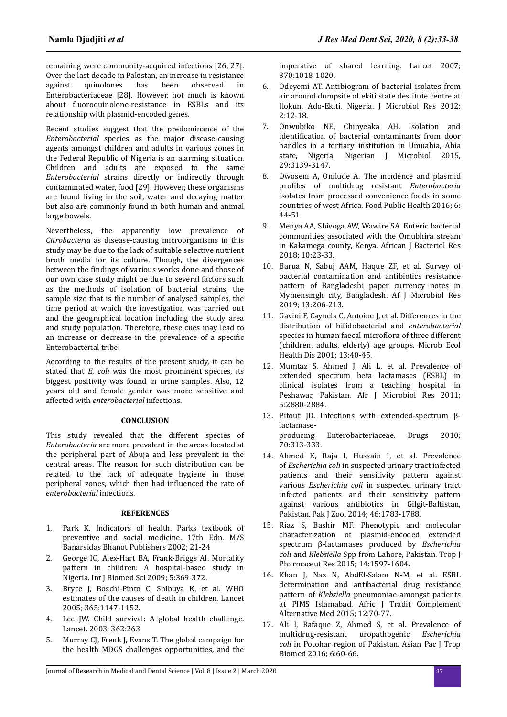remaining were community-acquired infections [26, 27]. Over the last decade in Pakistan, an increase in resistance against quinolones has been observed in Enterobacteriaceae [28]. However, not much is known about fluoroquinolone-resistance in ESBLs and its relationship with plasmid-encoded genes.

Recent studies suggest that the predominance of the *Enterobacterial* species as the major disease-causing agents amongst children and adults in various zones in the Federal Republic of Nigeria is an alarming situation. Children and adults are exposed to the same *Enterobacterial* strains directly or indirectly through contaminated water, food [29]. However, these organisms are found living in the soil, water and decaying matter but also are commonly found in both human and animal large bowels.

Nevertheless, the apparently low prevalence of *Citrobacteria* as disease-causing microorganisms in this study may be due to the lack of suitable selective nutrient broth media for its culture. Though, the divergences between the findings of various works done and those of our own case study might be due to several factors such as the methods of isolation of bacterial strains, the sample size that is the number of analysed samples, the time period at which the investigation was carried out and the geographical location including the study area and study population. Therefore, these cues may lead to an increase or decrease in the prevalence of a specific Enterobacterial tribe.

According to the results of the present study, it can be stated that *E. coli* was the most prominent species, its biggest positivity was found in urine samples. Also, 12 years old and female gender was more sensitive and affected with *enterobacterial* infections.

# **CONCLUSION**

This study revealed that the different species of *Enterobacteria* are more prevalent in the areas located at the peripheral part of Abuja and less prevalent in the central areas. The reason for such distribution can be related to the lack of adequate hygiene in those peripheral zones, which then had influenced the rate of *enterobacterial* infections.

## **REFERENCES**

- 1. Park K. Indicators of health. Parks textbook of preventive and social medicine. 17th Edn. M/S Banarsidas Bhanot Publishers 2002; 21-24
- 2. George IO, Alex-Hart BA, Frank-Briggs AI. Mortality pattern in children: A hospital-based study in Nigeria. Int J Biomed Sci 2009; 5:369-372.
- 3. Bryce J, Boschi-Pinto C, Shibuya K, et al. WHO estimates of the causes of death in children. Lancet 2005; 365:1147-1152.
- 4. Lee JW. Child survival: A global health challenge. Lancet. 2003; 362:263
- 5. Murray CJ, Frenk J, Evans T. The global campaign for the health MDGS challenges opportunities, and the

imperative of shared learning. Lancet 2007; 370:1018-1020.

- 6. Odeyemi AT. Antibiogram of bacterial isolates from air around dumpsite of ekiti state destitute centre at Ilokun, Ado-Ekiti, Nigeria. J Microbiol Res 2012; 2:12-18.
- 7. Onwubiko NE, Chinyeaka AH. Isolation and identification of bacterial contaminants from door handles in a tertiary institution in Umuahia, Abia state, Nigeria. Nigerian J Microbiol 2015, 29:3139-3147.
- 8. Owoseni A, Onilude A. The incidence and plasmid proϐiles of multidrug resistant *Enterobacteria* isolates from processed convenience foods in some countries of west Africa. Food Public Health 2016; 6: 44-51.
- 9. Menya AA, Shivoga AW, Wawire SA. Enteric bacterial communities associated with the Omubhira stream in Kakamega county, Kenya. African J Bacteriol Res 2018; 10:23-33.
- 10. Barua N, Sabuj AAM, Haque ZF, et al. Survey of bacterial contamination and antibiotics resistance pattern of Bangladeshi paper currency notes in Mymensingh city, Bangladesh. Af J Microbiol Res 2019; 13:206-213.
- 11. Gavini F, Cayuela C, Antoine J, et al. Differences in the distribution of bifidobacterial and *enterobacterial* species in human faecal microflora of three different (children, adults, elderly) age groups. Microb Ecol Health Dis 2001; 13:40-45.
- 12. Mumtaz S, Ahmed J, Ali L, et al. Prevalence of extended spectrum beta lactamases (ESBL) in clinical isolates from a teaching hospital in Peshawar, Pakistan. Afr J Microbiol Res 2011; 5:2880-2884.
- 13. Pitout JD. Infections with extended-spectrum βlactamaseproducing Enterobacteriaceae. Drugs 2010; 70:313-333.
- 14. Ahmed K, Raja I, Hussain I, et al. Prevalence of *Escherichia coli* in suspected urinary tract infected patients and their sensitivity pattern against various *Escherichia coli* in suspected urinary tract infected patients and their sensitivity pattern against various antibiotics in Gilgit-Baltistan, Pakistan. Pak J Zool 2014; 46:1783-1788.
- 15. Riaz S, Bashir MF. Phenotypic and molecular characterization of plasmid-encoded extended spectrum β-lactamases produced by *Escherichia coli* and *Klebsiella* Spp from Lahore, Pakistan. Trop J Pharmaceut Res 2015; 14:1597-1604.
- 16. Khan J, Naz N, AbdEl-Salam N-M, et al. ESBL determination and antibacterial drug resistance pattern of *Klebsiella* pneumoniae amongst patients at PIMS Islamabad. Afric J Tradit Complement Alternative Med 2015; 12:70-77.
- 17. Ali I, Rafaque Z, Ahmed S, et al. Prevalence of multidrug-resistant uropathogenic *Escherichia coli* in Potohar region of Pakistan. Asian Pac J Trop Biomed 2016; 6:60-66.